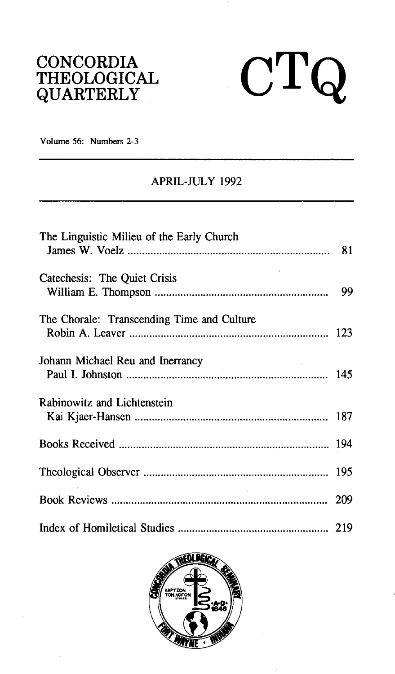# **CONCORDIA THEOLOGICAL QUARTERLY**



**Volume 56: Numbers 2-3** 

## **APRIL-JULY 1992**

| The Linguistic Milieu of the Early Church  |    |
|--------------------------------------------|----|
| Catechesis: The Quiet Crisis               | 99 |
| The Chorale: Transcending Time and Culture |    |
| Johann Michael Reu and Inerrancy           |    |
| Rabinowitz and Lichtenstein                |    |
|                                            |    |
|                                            |    |
|                                            |    |
|                                            |    |

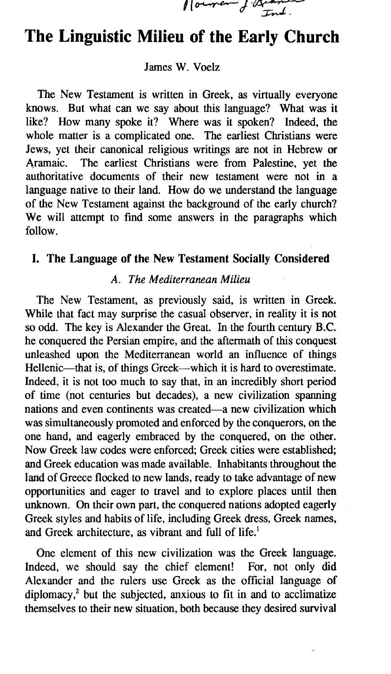1 ouver J. Quan

# **The Linguistic Milieu of the Early Church**

#### James W. Voelz

The New Testament is written in Greek, as virtually everyone knows. But what can we say about this language? What was it like? How many spoke it? Where was it spoken? Indeed, the whole matter is a complicated one. The earliest Christians were Jews, yet their canonical religious writings are not in Hebrew or Aramaic. The earliest Christians were from Palestine, yet the authoritative documents of their new testament were not in a language native to their land. How do we understand the language of the New Testament against the background of the early church? We will attempt to find some answers in the paragraphs which follow.

### **I. The Language of the New Testament Socially Considered**

#### *A. The Mediterranean Milieu*

The New Testament, as previously said, is written in Greek. While that fact may surprise the casual observer, in reality it is not so odd. The key is Alexander the Great. In the fourth century B.C. he conquered the Persian empire, and the aftermath of this conquest unleashed upon the Mediterranean world an influence of things Hellenic—that is, of things Greek—which it is hard to overestimate. Indeed, it is not too much to say that, in an incredibly short period of time (not centuries but decades), a new civilization spanning nations and even continents was created-a new civilization which was simultaneously promoted and enforced by the conquerors, on the one hand, and eagerly embraced by the conquered, on the other. Now Greek law codes were enforced; Greek cities were established; and Greek education was made available. Inhabitants throughout the land of Greece flocked to new lands, ready to take advantage of new opportunities and eager to travel and to explore places until then unknown. On their own part, the conquered nations adopted eagerly Greek styles and habits of life, including Greek dress, Greek names, and Greek architecture, as vibrant and full of life.'

One element of this new civilization was the Greek language. Indeed, we should say the chief element! For, not only did Alexander and the rulers use Greek as the official language of diplomacy? but the subjected, anxious to fit in and to acclimatize themselves to their new situation, both because they desired survival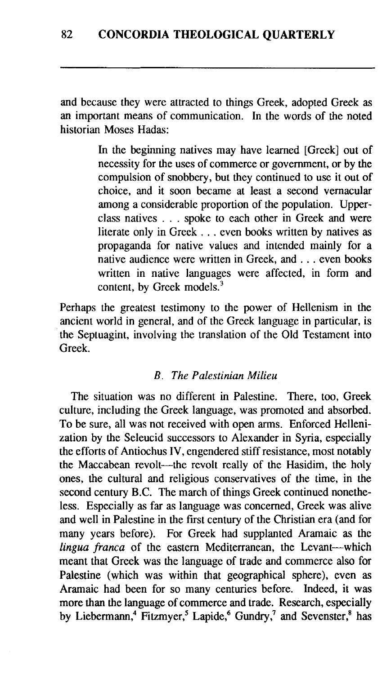and because they were attracted to things Greek, adopted Greek as an important means of communication. In the words of the noted historian Moses Hadas:

> In the beginning natives may have learned [Greek] out of necessity for the uses of commerce or government, or by the compulsion of snobbery, but they continued to use it out of choice, and it soon became at least a second vernacular among a considerable proportion of the population. Upperclass natives . . . spoke to each other in Greek and were literate only in Greek . . . even books written by natives as propaganda for native values and intended mainly for a native audience were written in Greek, and . . . even books written in native languages were affected, in form and content, by Greek models.<sup>3</sup>

Perhaps the greatest testimony to the power of Hellenism in the ancient world in general, and of the Greek language in particular, is the Septuagint, involving the translation of the Old Testament into Greek.

#### *B. The Palestinian Milieu*

The situation was no different in Palestine. There, too, Greek culture, including the Greek language, was promoted and absorbed. To be sure, all was not received with open arms. Enforced Hellenization by the Seleucid successors to Alexander in Syria, especially the efforts of Antiochus IV, engendered stiff resistance, most notably the Maccabean revolt—the revolt really of the Hasidim, the holy ones, the cultural and religious conservatives of the time, in the second century B.C. The march of things Greek continued nonetheless. Especially as far as language was concerned, Greek was alive and well in Palestine in the first century of the Christian era (and for many years before). For Greek had supplanted Aramaic as the *lingua franca* of the eastern Mediterranean, the Levant-which meant that Greek was the language of trade and commerce also for Palestine (which was within that geographical sphere), even as Aramaic had been for so many centuries before. Indeed, it was more than the language of commerce and trade. Research, especially by Liebermann,<sup>4</sup> Fitzmyer,<sup>5</sup> Lapide,<sup>6</sup> Gundry,<sup>7</sup> and Sevenster,<sup>8</sup> has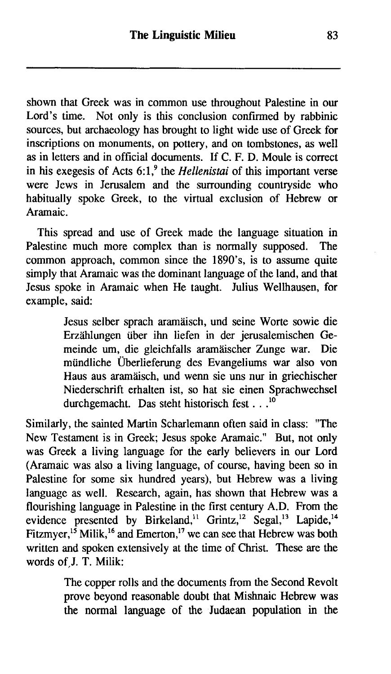shown that Greek was in common use throughout Palestine in our Lord's time. Not only is this conclusion confirmed by rabbinic sources, but archaeology has brought to light wide use of Greek for inscriptions on monuments, on pottery, and on tombstones, as well as in letters and in official documents. If C. F. D. Moule is correct in his exegesis of Acts 6:1<sup>9</sup> the *Hellenistai* of this important verse were Jews in Jerusalem and the surrounding countryside who habitually spoke Greek, to the virtual exclusion of Hebrew or Aramaic.

This spread and use of Greek made the language situation in Palestine much more complex than is normally supposed. The common approach, common since the 1890's, is to assume quite simply that Aramaic was the dominant language of the land, and that Jesus spoke in Aramaic when He taught. Julius Wellhausen, for example, said:

> Jesus selber sprach aramiiisch, und seine Worte sowie die Erzählungen über ihn liefen in der jerusalemischen Gemeinde um, die gleichfalls aramiiischer Zunge war. Die miindliche ijberlieferung des Evangeliums war also von Haus aus aramäisch, und wenn sie uns nur in griechischer Niederschrift erhalten ist, so hat sie einen Sprachwechsel durchgemacht. Das steht historisch fest . . .<sup>10</sup>

Similarly, the sainted Martin Scharlemann often said in class: "The New Testament is in Greek; Jesus spoke Aramaic." But, not only was Greek a living language for the early believers in our Lord (Aramaic was also a living language, of course, having been so in Palestine for some six hundred years), but Hebrew was a living language as well. Research, again, has shown that Hebrew was a flourishing language in Palestine in the first century A.D. From the evidence presented by Birkeland,<sup>11</sup> Grintz,<sup>12</sup> Segal,<sup>13</sup> Lapide,<sup>14</sup> Fitzmyer,<sup>15</sup> Milik,<sup>16</sup> and Emerton,<sup>17</sup> we can see that Hebrew was both written and spoken extensively at the time of Christ. These are the words of J. T. Milik:

> The copper rolls and the documents from the Second Revolt prove beyond reasonable doubt that Mishnaic Hebrew was the normal language of the Judaean population in the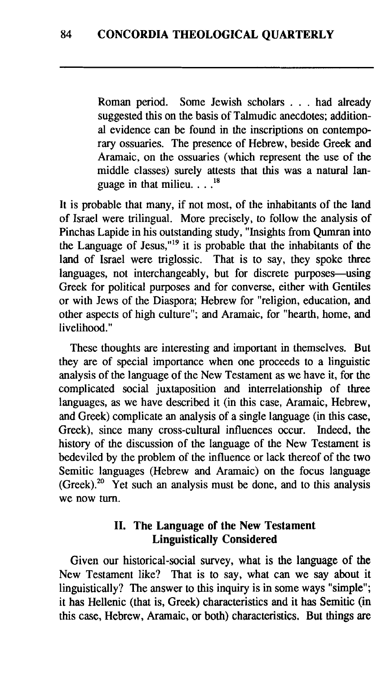Roman period. Some Jewish scholars . . . had already suggested this on the basis of Talmudic anecdotes; additional evidence can be found in the inscriptions on contemporary ossuaries. The presence of Hebrew, beside Greek and Aramaic, on the ossuaries (which represent the use of the middle classes) surely attests that this was a natural language in that milieu. . . **.I8** 

It is probable that many, if not most, of the inhabitants of the land of Israel were trilingual. More precisely, to follow the analysis of Pinchas Lapide in his outstanding study, "Insights from Qumran into the Language of Jesus," $19$  it is probable that the inhabitants of the land of Israel were triglossic. That is to say, they spoke three languages, not interchangeably, but for discrete purposes—using Greek for political purposes and for converse, either with Gentiles or with Jews of the Diaspora; Hebrew for "religion, education, and other aspects of high culture"; and Aramaic, for "hearth, home, and livelihood."

These thoughts are interesting and important in themselves. But they are of special importance when one proceeds to a linguistic analysis of the language of the New Testament as we have it, for the complicated social juxtaposition and interrelationship of three languages, as we have described it (in this case, Aramaic, Hebrew, and Greek) complicate an analysis of a single language (in this case, Greek), since many cross-cultural influences occur. Indeed, the history of the discussion of the language of the New Testament is bedeviled by the problem of the influence or lack thereof of the two Semitic languages (Hebrew and Aramaic) on the focus language  $(Greek).<sup>20</sup>$  Yet such an analysis must be done, and to this analysis we now turn.

### 11. The Language of the New Testament Linguistically Considered

Given our historical-social survey, what is the language of the New Testament like? That is to say, what can we say about it linguistically? The answer to this inquiry is in some ways "simple"; it has Hellenic (that is, Greek) characteristics and it has Semitic (in this case, Hebrew, Aramaic, or both) characteristics. But things are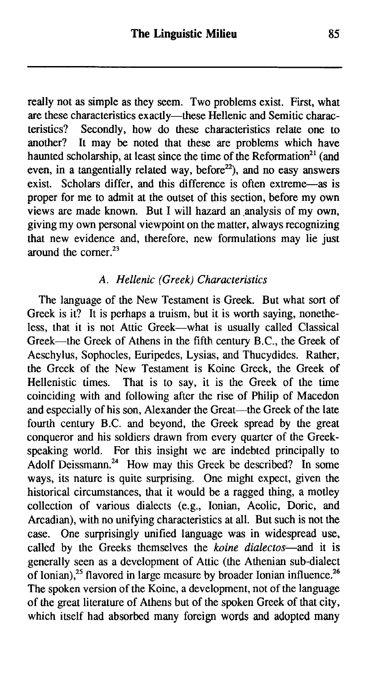really not as simple as they seem. Two problems exist. First, what are these characteristics exactly-these Hellenic and Semitic characteristics? Secondly, how do these characteristics relate one to another? It may be noted that these are problems which have haunted scholarship, at least since the time of the Reformation<sup>21</sup> (and even, in a tangentially related way, before $2^2$ ), and no easy answers exist. Scholars differ, and this difference is often extreme-as is proper for me to admit at the outset of this section, before my own views are made known. But I will hazard an analysis of my own, giving my own personal viewpoint on the matter, always recognizing that new evidence and, therefore, new formulations may lie just around the corner.23

#### **A.** Hellenic (Greek) Characteristics

The language of the New Testament is Greek. But what sort of Greek is it? It is perhaps a truism, but it is worth saying, nonetheless, that it is not Attic Greek-what is usually called Classical Greek--the Greek of Athens in the fifth century B.C., the Greek of Aeschylus, Sophocles, Euripedes, Lysias, and Thucydides. Rather, the Greek of the New Testament is Koine Greek, the Greek of Hellenistic times. That is to say, it is the Greek of the time coinciding with and following after the rise of Philip of Macedon and especially of his son, Alexander the Great-the Greek of the late fourth century B.C. and beyond, the Greek spread by the great conqueror and his soldiers drawn from every quarter of the Greekspeaking world. For this insight we are indebted principally to Adolf Deissmann.<sup>24</sup> How may this Greek be described? In some ways, its nature is quite surprising. One might expect, given the historical circumstances, that it would be a ragged thing, a motley collection of various dialects (e.g., Ionian, Aeolic, Doric, and Arcadian), with no unifying characteristics at all. But such is not the case. One surprisingly unified language was in widespread use, called by the Greeks themselves the koine dialectos-and it is generally seen as a development of Attic (the Athenian sub-dialect of Ionian).<sup>25</sup> flavored in large measure by broader Ionian influence.<sup>26</sup> The spoken version of the Koine, a development, not of the language of the great literature of Athens but of the spoken Greek of that city, which itself had absorbed many foreign words and adopted many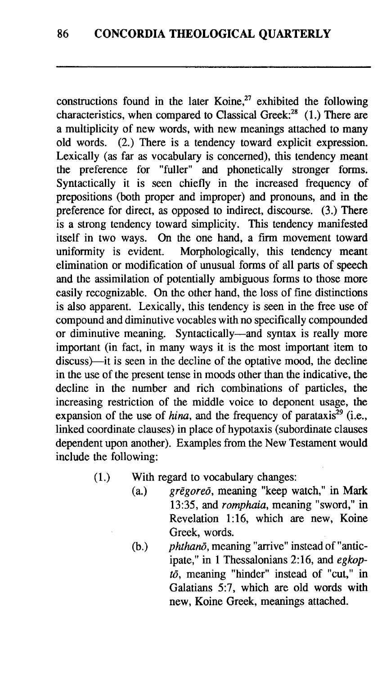constructions found in the later Koine?' exhibited the following characteristics, when compared to Classical Greek: $^{28}$  (1.) There are a multiplicity of new words, with new meanings attached to many old words. (2.) There is a tendency toward explicit expression. Lexically (as far as vocabulary is concerned), this tendency meant the preference for "fuller" and phonetically stronger forms. Syntactically it is seen chiefly in the increased frequency of prepositions (both proper and improper) and pronouns, and in the preference for direct, as opposed to indirect, discourse. **(3.)** There is a strong tendency toward simplicity. This tendency manifested itself in two ways. On the one hand, a **firm** movement toward uniformity is evident. Morphologically, this tendency meant elimination or modification of unusual forms of all parts of speech and the assimilation of potentially ambiguous forms to those more easily recognizable. On the other hand, the loss of fine distinctions is also apparent. Lexically, this tendency is seen in the free use of compound and diminutive vocables with no specifically compounded or diminutive meaning. Syntactically-and syntax is really more important (in fact, in many ways it is the most important item to discuss)—it is seen in the decline of the optative mood, the decline in the use of the present tense in moods other than the indicative, the decline in the number and rich combinations of particles, the increasing restriction of the middle voice to deponent usage, the expansion of the use of *hina*, and the frequency of parataxis<sup> $\bar{z}^9$ </sup> (i.e., linked coordinate clauses) in place of hypotaxis (subordinate clauses dependent upon another). Examples from the New Testament would include the following:

- (1.) With regard to vocabulary changes:<br>(a.)  $gregoreo$ , meaning "keep w
	- $\alpha$ rēgoreō, meaning "keep watch," in Mark 13:35, and romphaia, meaning "sword," in Revelation 1:16, which are new, Koine Greek, words.
	- $(b.)$  phthano, meaning "arrive" instead of "anticipate," in 1 Thessalonians 2:16, and egkop $t\bar{o}$ , meaning "hinder" instead of "cut," in Galatians 5:7, which are old words with new, Koine Greek, meanings attached.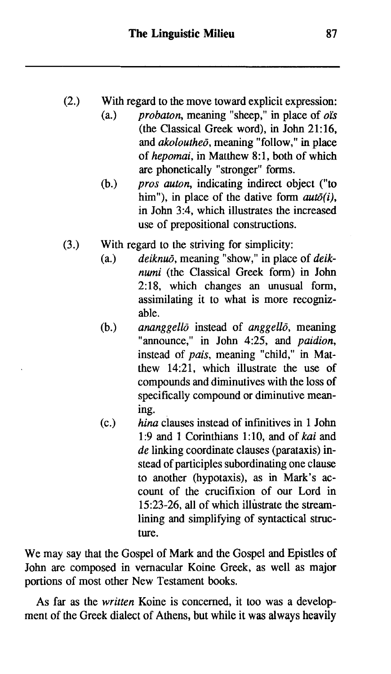- (2.) With regard to the move toward explicit expression:<br>(a.)  $probaton$ , meaning "sheep," in place of *o* is
	- *probaton*, meaning "sheep," in place of  $\phi$  is (the Classical Greek word), in John 21:16, and  $akolouthe\bar{o}$ , meaning "follow," in place of hepomai, in Matthew 8:1, both of which are phonetically "stronger" forms.
	- (b.) pros auton, indicating indirect object ("to him"), in place of the dative form  $aut\bar{o}(i)$ , in John 3:4, which illustrates the increased use of prepositional constructions.
- (3.) With regard to the striving for simplicity:<br>(a.)  $deiknu\bar{o}$ , meaning "show," in place
	- $deiknu\bar{o}$ , meaning "show," in place of  $deik$ *numi* (the Classical Greek form) in John 2:18, which changes an unusual form, assimilating it to what is more recognizable.
	- $(b.)$ ananggello instead of anggello, meaning "announce," in John 4:25, and *paidion*, instead of pais, meaning "child," in Matthew 14:21, which illustrate the use of compounds and diminutives with the loss of specifically compound or diminutive meaning.
	- $(c.)$ hina clauses instead of infinitives in 1 John 1 **:9** and 1 Corinthians 1 : 10, and of kai and de linking coordinate clauses (parataxis) instead of participles subordinating one clause to another (hypotaxis), as in Mark's account of the crucifixion of our Lord in 15:23-26, all of which illustrate the streamlining and simplifying of syntactical structure.

We may say that the Gospel of Mark and the Gospel and Epistles of John are composed in vernacular Koine Greek, as well as major portions of most other New Testament books.

As far as the written Koine is concerned, it too was a development of the Greek dialect of Athens, but while it was always heavily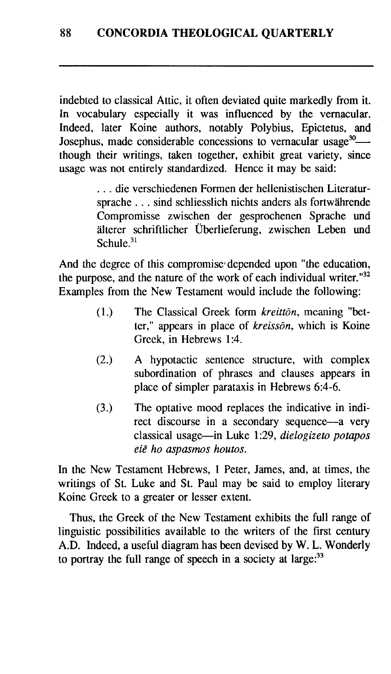indebted to classical Attic, it often deviated quite markedly from it. In vocabulary especially it was influenced by the vernacular. Indeed, later Koine authors, notably Polybius, Epictetus, and Josephus, made considerable concessions to vernacular usage<sup>30</sup>--though their writings, taken together, exhibit great variety, since usage was not entirely standardized. Hence it may be said:

> . . . die verschiedenen Formen der hellenistischen Literatursprache . . . sind schliesslich nichts anders als fortwährende Compromisse zwischen der gesprochenen Sprache und älterer schriftlicher Überlieferung, zwischen Leben und  $Schule<sup>31</sup>$

And the degree of this compromise depended upon "the education, the purpose, and the nature of the work of each individual writer."32 Examples from the New Testament would include the following:

- (1.) The Classical Greek form *kreitton*, meaning "better," appears in place of *kreissGn,* which is Koine Greek, in Hebrews 1:4.
- (2.) A hypotactic sentence structure, with complex subordination of phrases and clauses appears in place of simpler parataxis in Hebrews 6:4-6.
- **(3.)** The optative mood replaces the indicative in indirect discourse in a secondary sequence-a very classical usage-in Luke 1 :29, *dielogizeto potapos eie ho aspasmos houtos.*

In the New Testament Hebrews, 1 Peter, James, and, at times, the writings of St. Luke and St. Paul may be said to employ literary Koine Greek to a greater or lesser extent.

Thus, the Greek of the New Testament exhibits the full range of linguistic possibilities available to the writers of the first century A.D. Indeed, a useful diagram has been devised by W. L. Wonderly to portray the full range of speech in a society at large: $33$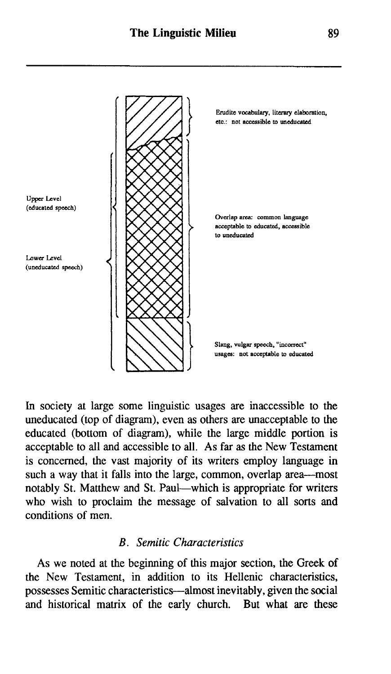

In society at large some linguistic usages are inaccessible to the uneducated (top of diagram), even as others are unacceptable to the educated (bottom of diagram), while the large middle portion is acceptable to all and accessible to all. As far as the New Testament is concerned, the vast majority of its writers employ language in such a way that it falls into the large, common, overlap area-most notably St. Matthew and St. Paul-which is appropriate for writers who wish to proclaim the message of salvation to all sorts and conditions of men.

#### *B* . *Semitic Characteristics*

As we noted at the beginning of this major section, the Greek of the New Testament, in addition to its Hellenic characteristics, possesses Semitic characteristics-almost inevitably, given the social and historical matrix of the early church. But what are these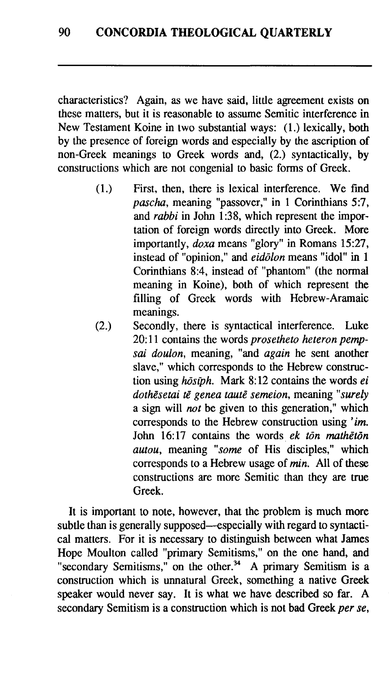characteristics? Again, as we have said, little agreement exists on these matters, but it is reasonable to assume Semitic interference in New Testament Koine in two substantial ways: (1.) lexically, both by the presence of foreign words and especially by the ascription of non-Greek meanings to Greek words and, (2.) syntactically, by constructions which are not congenial to basic forms of Greek.

- (1.) First, then, there is lexical interference. We find *pascha,* meaning "passover," in 1 Corinthians 5:7, and *rabbi* in John 1:38, which represent the importation of foreign words directly into Greek. More importantly, *doxa* means "glory" in Romans 15:27, instead of "opinion," and *eiddon* means "idol" in 1 Corinthians 8:4, instead of "phantom" (the normal meaning in Koine), both of which represent the filling of Greek words with Hebrew-Aramaic meanings.
- (2.) Secondly, there is syntactical interference. Luke 20: 11 contains the words *prosetheto heteron pempsai doulon,* meaning, "and *again* he sent another slave," which corresponds to the Hebrew construction using *hōsiph*. Mark 8:12 contains the words *ei* dothēsetai tē genea tautē semeion, meaning "surely a sign will *not* be given to this generation," which corresponds to the Hebrew construction using *'im.*  John 16:17 contains the words ek tōn mathētōn *autou,* meaning *"some* of His disciples," which corresponds to a Hebrew usage of *min.* All of these constructions are more Semitic than they are true Greek.

It is important to note, however, that the problem is much more subtle than is generally supposed—especially with regard to syntactical matters. For it is necessary to distinguish between what James Hope Moulton called "primary Semitisms," on the one hand, and "secondary Semitisms," on the other.<sup>34</sup> A primary Semitism is a construction which is unnatural Greek, something a native Greek speaker would never say. It is what we have described so far. A secondary Semitism is a construction which is not bad Greek *per se,*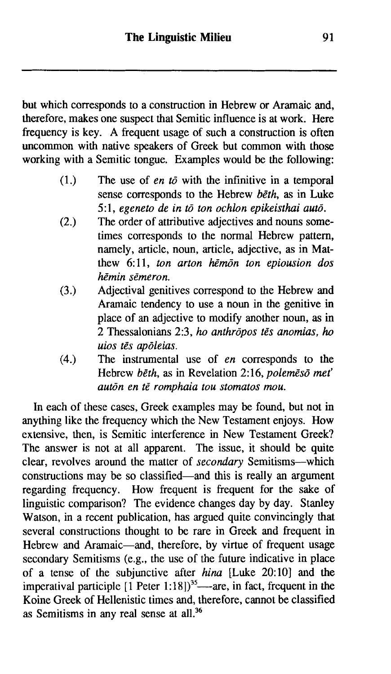but which corresponds to a construction in Hebrew or Aramaic and, therefore, makes one suspect that Semitic influence is at work. Here frequency is key. A frequent usage of such a construction is often uncommon with native speakers of Greek but common with those working with a Semitic tongue. Examples would be the following:

- The use of *en to* with the infinitive in a temporal  $(1.)$ sense corresponds to the Hebrew *beth,* as in Luke 5: 1, *egeneto de in td ton ochlon epikeisthai autd.*
- The order of attributive adjectives and nouns some- $(2.)$ times corresponds to the normal Hebrew pattern, namely, article, noun, article, adjective, as in Matthew 6:11, *ton arton hēmon ton epiousion dos hhin sEmeron.*
- Adjectival genitives correspond to the Hebrew and  $(3.)$ Aramaic tendency to use a noun in the genitive in place of an adjective to modify another noun, as in 2 Thessalonians 2:3, *ho anthrdpos tEs anomias,* **ho**  *uios tEs apdeias.*
- The instrumental use of *en* corresponds to the  $(4.)$ Hebrew *bEth,* as in Revelation 2:16, *polemesd met' autan en tE romphaia tou stomatos* **mou.**

In each of these cases, Greek examples may be found, but not in anything like the frequency which the New Testament enjoys. How extensive, then, is Semitic interference in New Testament Greek? The answer is not at all apparent. The issue, it should be quite clear, revolves around the matter of *secondary* Semitisms-which constructions may be so classified—and this is really an argument regarding frequency. How frequent is frequent for the sake of linguistic comparison? The evidence changes day by day. Stanley Watson, in a recent publication, has argued quite convincingly that several constructions thought to be rare in Greek and frequent in Hebrew and Aramaic-and, therefore, by virtue of frequent usage secondary Semitisms (e.g., the use of the future indicative in place of a tense of the subjunctive after *hina* [Luke 20:10] and the imperatival participle  $[1$  Peter 1:18])<sup>35</sup>—-are, in fact, frequent in the Koine Greek of Hellenistic times and, therefore, cannot be classified as Semitisms in any real sense at all.36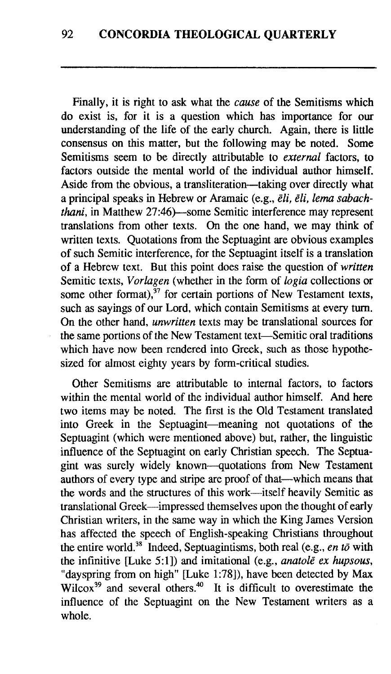Finally, it is right to ask what the *cause* of the Semitisms which do exist is, for it is a question which has importance for our understanding of the life of the early church. Again, there is little consensus on this matter, but the following may be noted. Some Semitisms seem to be directly attributable to *external* factors, to factors outside the mental world of the individual author himself. Aside from the obvious, a transliteration-taking over directly what a principal speaks in Hebrew or Aramaic (e.g., *&li, dli, lema sabachthani*, in Matthew 27:46)—some Semitic interference may represent translations from other texts. On the one hand, we may think of written texts. Quotations from the Septuagint are obvious examples of such Semitic interference, for the Septuagint itself is a translation of a Hebrew text. But this point does raise the question of *written*  Semitic texts, *Vorlagen* (whether in the form of *logia* collections or some other format),  $37$  for certain portions of New Testament texts, such as sayings of our Lord, which contain Semitisms at every turn. On the other hand, *unwritten* texts may be translational sources for the same portions of the New Testament text-Semitic oral traditions which have now been rendered into Greek, such as those hypothesized for almost eighty years by form-critical studies.

Other Semitisms are attributable to internal factors, to factors within the mental world of the individual author himself. **And** here two items may be noted. The first is the Old Testament translated into Greek in the Septuagint-meaning not quotations of the Septuagint (which were mentioned above) but, rather, the linguistic influence of the Septuagint on early Christian speech. The Septuagint was surely widely known--quotations from New Testament authors of every type and stripe are proof of that-which means that the words and the structures of this work-itself heavily Semitic as translational Greek-impressed themselves upon the thought of early Christian writers, in the same way in which the King James Version has affected the speech of English-speaking Christians throughout the entire world.<sup>38</sup> Indeed, Septuagintisms, both real (e.g., *en to* with the infinitive [Luke 5:1]) and imitational (e.g., *anatole ex hupsous*, "dayspring from on high" [Luke 1:78]), have been detected by Max Wilcox<sup>39</sup> and several others.<sup>40</sup> It is difficult to overestimate the influence of the Septuagint on the New Testament writers as a whole.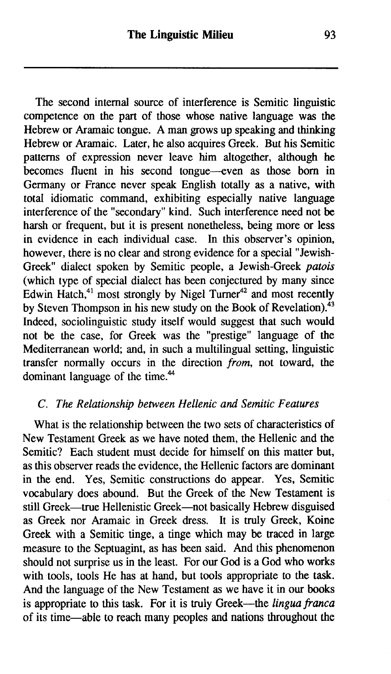The second internal source of interference is Semitic linguistic competence on the part of those whose native language was the Hebrew or Aramaic tongue. A man grows up speaking and thinking Hebrew or Aramaic. Later, he also acquires Greek. But his Semitic patterns of expression never leave him altogether, although he becomes fluent in his second tongue--even as those born in Germany or France never speak English totally as a native, with total idiomatic command, exhibiting especially native language interference of the "secondary" kind. Such interference need not be harsh or frequent, but it is present nonetheless, being more or less in evidence in each individual case. In this observer's opinion, however, there is no clear and strong evidence for a special "Jewish-Greek" dialect spoken by Semitic people, a Jewish-Greek *patois*  (which type of special dialect has been conjectured by many since Edwin  $Hatch<sup>41</sup>$  most strongly by Nigel Turner<sup>42</sup> and most recently by Steven Thompson in his new study on the Book of Revelation). $43$ Indeed, sociolinguistic study itself would suggest that such would not be the case, for Greek was the "prestige" language of the Mediterranean world; and, in such a multilingual setting, linguistic transfer normally occurs in the direction *from,* not toward, the dominant language of the time.<sup>44</sup>

#### *C. The Relationship between Hellenic and Semitic Features*

What is the relationship between the two sets of characteristics of New Testament Greek as we have noted them, the Hellenic and the Semitic? Each student must decide for himself on this matter but, as this observer reads the evidence, the Hellenic factors are dominant in the end. Yes, Semitic constructions do appear. Yes, Semitic vocabulary does abound. But the Greek of the New Testament is still Greek—true Hellenistic Greek—not basically Hebrew disguised as Greek nor Aramaic in Greek dress. It is truly Greek, Koine Greek with a Semitic tinge, a tinge which may be traced in large measure to the Septuagint, as has been said. And this phenomenon should not surprise us in the least. For our God is a God who works with tools, tools He has at hand, but tools appropriate to the task. And the language of the New Testament as we have it in our books is appropriate to this task. For it is truly Greek-the *lingua franca* of its time-able to reach **many** peoples **and** nations throughout the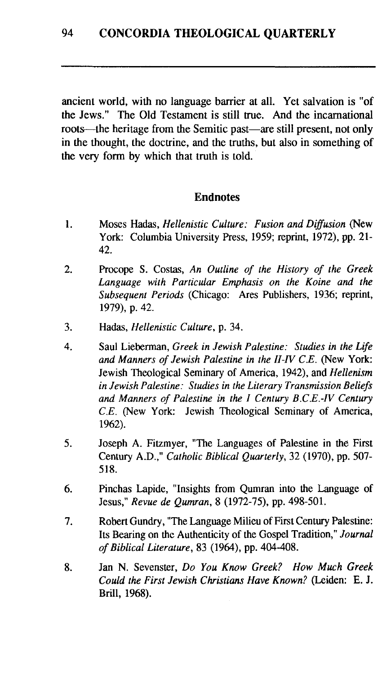ancient world, with no language barrier at all. Yet salvation is "of the Jews." The Old Testament is still true. And the incarnational roots—the heritage from the Semitic past—are still present, not only in the thought, the doctrine, and the truths, but also in something of the very form by which that truth is told.

#### **Endnotes**

- 1. Moses Hadas, *Hellenistic Culture: Fusion and Diffusion* (New York: Columbia University Press, 1959; reprint, 1972), pp. 21- 42.
- $2.$ Procope S. Costas, *An Outline of the History of the Greek Language with Particular Emphasis on the Koine and the Subsequent Periods* (Chicago: Ares Publishers, 1936; reprint, 1979), p. 42.
- 3. Hadas, *Hellenistic Culture,* p. 34.
- $\overline{4}$ . Saul Lieberman, *Greek in Jewish Palestine: Studies in the Life and Manners of Jewish Palestine in the II-IV C.E.* (New York: Jewish Theological Seminary of America, 1942), and *Hellenism in Jewish Palestine: Studies in the Literary Transmission Beliefs and Manners of Palestine in the I Century B.C.E.-IV Century C.E.* (New York: Jewish Theological Seminary of America, 1962).
- 5. Joseph **A.** Fitzmyer, "The Languages of Palestine in the First Century A.D.," *Catholic Biblical Quarterly,* 32 (1970), pp. 507- 518.
- 6. Pinchas Lapide, "Insights from Qumran into the Language of Jesus," *Revue de Qumran,* 8 (1972-75), pp. 498-501.
- Robert Gundry, "The Language Milieu of First Century Palestine: 7. Its Bearing on the Authenticity of the Gospel Tradition," *Journal of Biblical Literature,* 83 (1964), pp. 404-408.
- 8. Jan N. Sevenster, *Do You Know Greek? How Much Greek Could the First Jewish Christians Have Known?* (Leiden: *E.* J. Brill, 1968).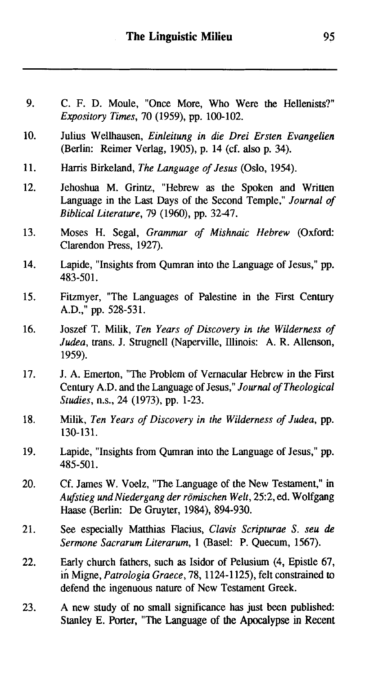- $9<sub>1</sub>$ C. F. D. Mode, "Once More, Who Were the Hellenists?" *Expository Times,* 70 (1959), pp. 100-102.
- 10. Julius Wellhausen, *Einleitung in die Drei Ersten Evangelien*  (Berlin: Reimer Verlag, 1905), p. 14 (cf. also p. 34).
- 11. Harris Birkeland, *The Language of Jesus* (Oslo, 1954).
- $12.$ Jehoshua M. Grintz, "Hebrew as the Spoken and Written Language in the Last Days of the Second Temple," *Journal* of *Biblical Literature,* 79 (1960), pp. 3247.
- Moses H. Segal, *Grammar of Mishnaic Hebrew* (Oxford: 13. Clarendon Press, 1927).
- Lapide, "Insights from Qumran into the Language of Jesus," pp. 14. 483-501.
- 15. Fitzmyer, "The Languages of Palestine in the First Century A.D.," pp. 528-531.
- 16. Joszef T. Milik, *Ten Years of Discovery in the Wilderness of Judea, trans. J. Strugnell (Naperville, Illinois: A. R. Allenson,* 1959).
- 17. J. A. Emerton, "The Problem of Vernacular Hebrew in the Fit Century A.D. and the Language of Jesus," *Journal of Theological Studies,* n.s., 24 (1973), pp. 1-23.
- 18. Milik, *Ten Years of Discovery in the Wilderness of Judea,* pp. 130-131.
- 19. Lapide, "Insights from Qumran into the Language of Jesus," pp. 485-50 1.
- $20<sub>1</sub>$ Cf. James W. Voelz, "The Language of the New Testament," in *Aufstieg und Niedergang der romischen Welt,* 25:2, ed. Wolfgang Haase (Berlin: De Gruyter, 1984), 894-930.
- 21. See especially Matthias Flacius, *CIavis Scripturae S. seu de Sermone Sacrarum Literarum,* 1 (Basel: P. Quecum, 1567).
- 22. Early church fathers, such as Isidor of Pelusium (4, Epistle 67, in Migne, *Patrologia Graece,* 78, 1124-1 125), felt constrained to defend the ingenuous nature of New Testament Greek.
- A new study of no small significance has just been published: 23. Stanley E. Porter, "The Language of the Apocalypse in Recent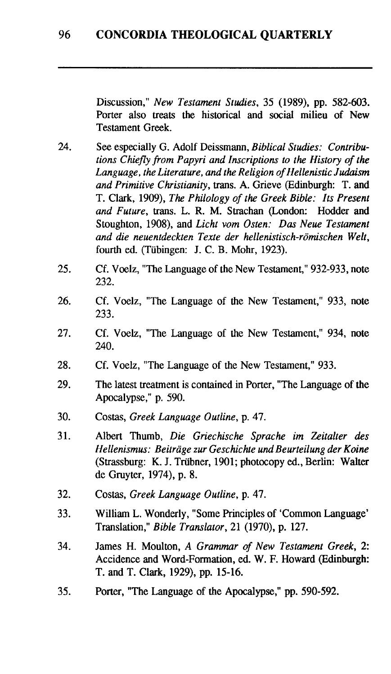Discussion," *New Testament Studies,* 35 (1989), pp. 582-603. Porter also treats the historical and social milieu of New Testament Greek.

- 24. See especially G. Adolf Deissmann, *Biblical Studies: Contributions Chiefly from Papyri and Inscriptions to the History of the Language, the Literature, and the Religion of Hellenistic Judaism and Primitive Christianity,* trans. A. Grieve (Edinburgh: T. and T. Clark, 1909), *The Philology of the Greek Bible: Its Present and Future,* trans. L. *R.* M. Strachan (London: Hodder and Stoughton, 1908), and *Licht vom Osten: Das Neue Testament and die neuentdeckten Texte der hellenistisch-römischen Welt,* fourth ed. (Tübingen: J. C. B. Mohr, 1923).
- 25. Cf. Voelz, "The Language of the New Testament," 932-933, note 232.
- 26. Cf. Voelz, "The Language of the New Testament," 933, note 233.
- 27. Cf. Voelz, "The Language of the New Testament," 934, note 240.
- 28. Cf. Voelz, "The Language of the New Testament," 933.
- 29. The latest treatment is contained in Porter, "The Language of the Apocalypse," p. 590.
- 30. Costas, *Greek Language Outline,* p. 47.
- 31. Albert Thumb, *Die Griechische Sprache im Zeitalter des Hellenismus: Beitrage zur Geschichte und Beurteilung der Koine*  (Strassburg: *K. J.* Triibner, 1901; photocopy **ed.,** Berlin: Walter de Gruyter, 1974), p. 8.
- 32. Costas, *Greek Language Outline,* p. 47.
- 33. William L. Wonderly, "Some Principles of 'Common Language' Translation," *Bible Translator,* 21 (1970), p. 127.
- 34. James H. Moulton, A *Grammar of New Testament Greek, 2:*  Accidence and Word-Formation, ed. W. F. Howard (Edinburgh: T. and T. Clark, 1929), pp. 15-16.
- $35<sub>1</sub>$ Porter, "The Language of the Apocalypse," pp. 590-592.